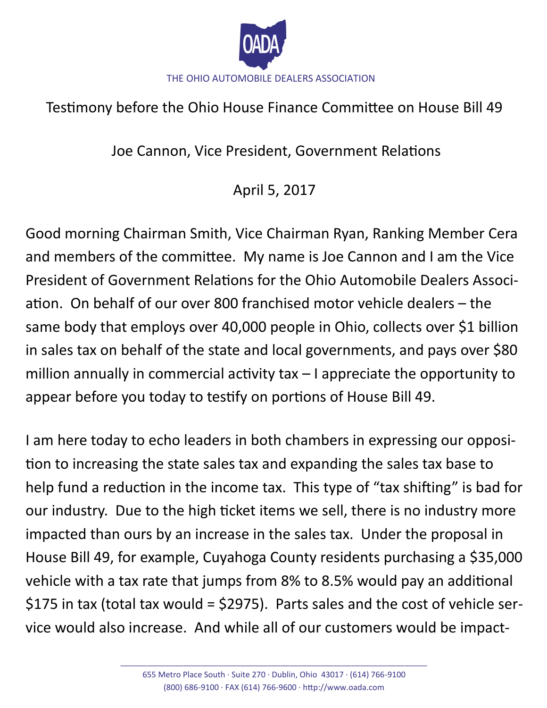

## Testimony before the Ohio House Finance Committee on House Bill 49

Joe Cannon, Vice President, Government Relations

## April 5, 2017

Good morning Chairman Smith, Vice Chairman Ryan, Ranking Member Cera and members of the committee. My name is Joe Cannon and I am the Vice President of Government Relations for the Ohio Automobile Dealers Association. On behalf of our over 800 franchised motor vehicle dealers – the same body that employs over 40,000 people in Ohio, collects over \$1 billion in sales tax on behalf of the state and local governments, and pays over \$80 million annually in commercial activity tax – I appreciate the opportunity to appear before you today to testify on portions of House Bill 49.

I am here today to echo leaders in both chambers in expressing our opposition to increasing the state sales tax and expanding the sales tax base to help fund a reduction in the income tax. This type of "tax shifting" is bad for our industry. Due to the high ticket items we sell, there is no industry more impacted than ours by an increase in the sales tax. Under the proposal in House Bill 49, for example, Cuyahoga County residents purchasing a \$35,000 vehicle with a tax rate that jumps from 8% to 8.5% would pay an additional \$175 in tax (total tax would = \$2975). Parts sales and the cost of vehicle service would also increase. And while all of our customers would be impact-

\_\_\_\_\_\_\_\_\_\_\_\_\_\_\_\_\_\_\_\_\_\_\_\_\_\_\_\_\_\_\_\_\_\_\_\_\_\_\_\_\_\_\_\_\_\_\_\_\_\_\_\_\_\_\_\_\_\_\_\_\_\_\_\_\_\_\_\_\_